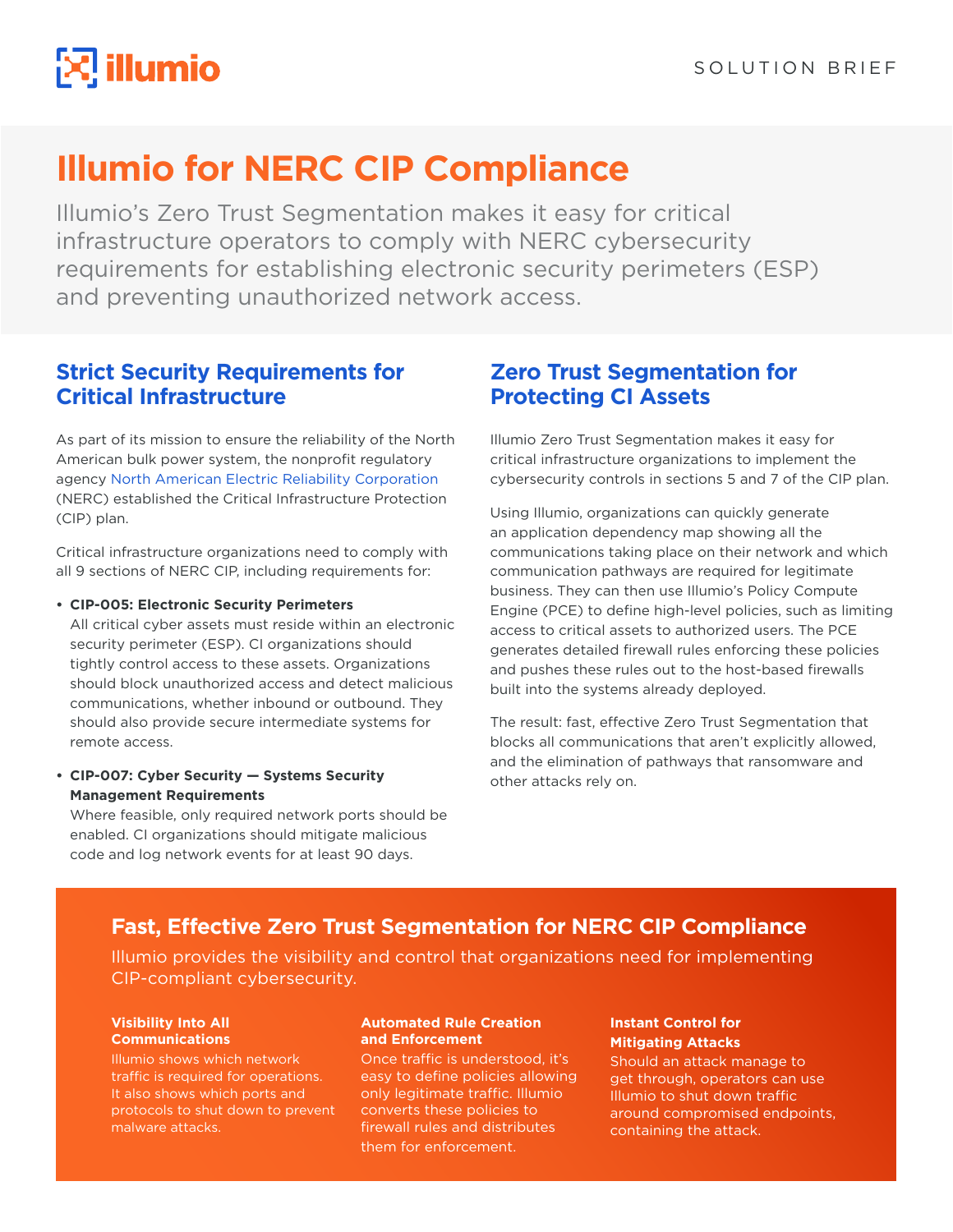

# **Illumio for NERC CIP Compliance**

Illumio's Zero Trust Segmentation makes it easy for critical infrastructure operators to comply with NERC cybersecurity requirements for establishing electronic security perimeters (ESP) and preventing unauthorized network access.

### **Strict Security Requirements for Critical Infrastructure**

As part of its mission to ensure the reliability of the North American bulk power system, the nonprofit regulatory agency [North American Electric Reliability Corporation](https://www.nerc.com/) (NERC) established the Critical Infrastructure Protection (CIP) plan.

Critical infrastructure organizations need to comply with all 9 sections of NERC CIP, including requirements for:

### **• CIP-005: Electronic Security Perimeters**

All critical cyber assets must reside within an electronic security perimeter (ESP). CI organizations should tightly control access to these assets. Organizations should block unauthorized access and detect malicious communications, whether inbound or outbound. They should also provide secure intermediate systems for remote access.

### **• CIP-007: Cyber Security — Systems Security Management Requirements**

Where feasible, only required network ports should be enabled. CI organizations should mitigate malicious code and log network events for at least 90 days.

## **Zero Trust Segmentation for Protecting CI Assets**

Illumio Zero Trust Segmentation makes it easy for critical infrastructure organizations to implement the cybersecurity controls in sections 5 and 7 of the CIP plan.

Using Illumio, organizations can quickly generate an application dependency map showing all the communications taking place on their network and which communication pathways are required for legitimate business. They can then use Illumio's Policy Compute Engine (PCE) to define high-level policies, such as limiting access to critical assets to authorized users. The PCE generates detailed firewall rules enforcing these policies and pushes these rules out to the host-based firewalls built into the systems already deployed.

The result: fast, effective Zero Trust Segmentation that blocks all communications that aren't explicitly allowed, and the elimination of pathways that ransomware and other attacks rely on.

### **Fast, Effective Zero Trust Segmentation for NERC CIP Compliance**

Illumio provides the visibility and control that organizations need for implementing CIP-compliant cybersecurity.

#### **Visibility Into All Communications**

Illumio shows which network traffic is required for operations. It also shows which ports and protocols to shut down to prevent malware attacks.

#### **Automated Rule Creation and Enforcement**

Once traffic is understood, it's easy to define policies allowing only legitimate traffic. Illumio converts these policies to firewall rules and distributes them for enforcement.

### **Instant Control for Mitigating Attacks**

Should an attack manage to get through, operators can use Illumio to shut down traffic around compromised endpoints, containing the attack.